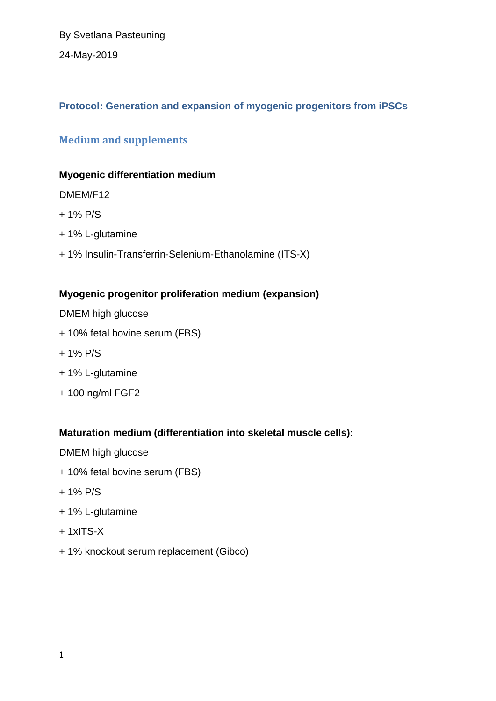By Svetlana Pasteuning 24-May-2019

# **Protocol: Generation and expansion of myogenic progenitors from iPSCs**

# **Medium and supplements**

### **Myogenic differentiation medium**

### DMEM/F12

- + 1% P/S
- + 1% L-glutamine
- + 1% Insulin-Transferrin-Selenium-Ethanolamine (ITS-X)

## **Myogenic progenitor proliferation medium (expansion)**

DMEM high glucose

- + 10% fetal bovine serum (FBS)
- + 1% P/S
- + 1% L-glutamine
- + 100 ng/ml FGF2

### **Maturation medium (differentiation into skeletal muscle cells):**

DMEM high glucose

- + 10% fetal bovine serum (FBS)
- + 1% P/S
- + 1% L-glutamine
- + 1xITS-X
- + 1% knockout serum replacement (Gibco)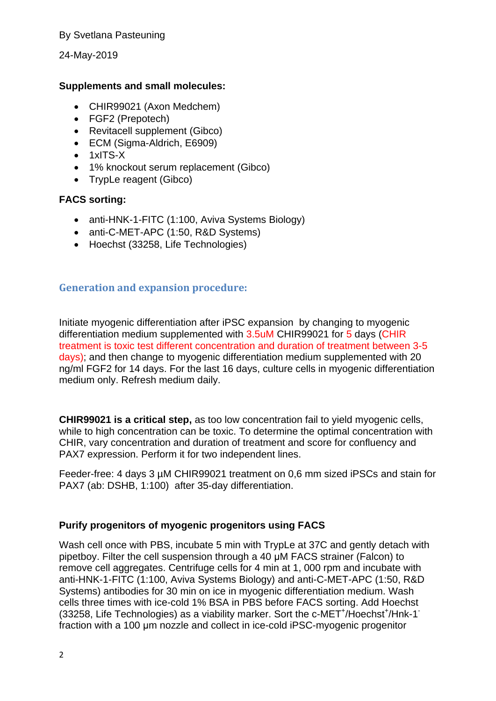24-May-2019

### **Supplements and small molecules:**

- CHIR99021 (Axon Medchem)
- FGF2 (Prepotech)
- Revitacell supplement (Gibco)
- ECM (Sigma-Aldrich, E6909)
- $\bullet$  1xITS-X
- 1% knockout serum replacement (Gibco)
- TrypLe reagent (Gibco)

### **FACS sorting:**

- anti-HNK-1-FITC (1:100, Aviva Systems Biology)
- anti-C-MET-APC (1:50, R&D Systems)
- Hoechst (33258, Life Technologies)

### **Generation and expansion procedure:**

Initiate myogenic differentiation after iPSC expansion by changing to myogenic differentiation medium supplemented with 3.5uM CHIR99021 for 5 days (CHIR treatment is toxic test different concentration and duration of treatment between 3-5 days); and then change to myogenic differentiation medium supplemented with 20 ng/ml FGF2 for 14 days. For the last 16 days, culture cells in myogenic differentiation medium only. Refresh medium daily.

**CHIR99021 is a critical step,** as too low concentration fail to yield myogenic cells, while to high concentration can be toxic. To determine the optimal concentration with CHIR, vary concentration and duration of treatment and score for confluency and PAX7 expression. Perform it for two independent lines.

Feeder-free: 4 days 3 µM CHIR99021 treatment on 0,6 mm sized iPSCs and stain for PAX7 (ab: DSHB, 1:100) after 35-day differentiation.

### **Purify progenitors of myogenic progenitors using FACS**

Wash cell once with PBS, incubate 5 min with TrypLe at 37C and gently detach with pipetboy. Filter the cell suspension through a 40 μM FACS strainer (Falcon) to remove cell aggregates. Centrifuge cells for 4 min at 1, 000 rpm and incubate with anti-HNK-1-FITC (1:100, Aviva Systems Biology) and anti-C-MET-APC (1:50, R&D Systems) antibodies for 30 min on ice in myogenic differentiation medium. Wash cells three times with ice-cold 1% BSA in PBS before FACS sorting. Add Hoechst (33258, Life Technologies) as a viability marker. Sort the c-MET<sup>+</sup>/Hoechst<sup>+</sup>/Hnk-1<sup>-</sup> fraction with a 100 μm nozzle and collect in ice-cold iPSC-myogenic progenitor